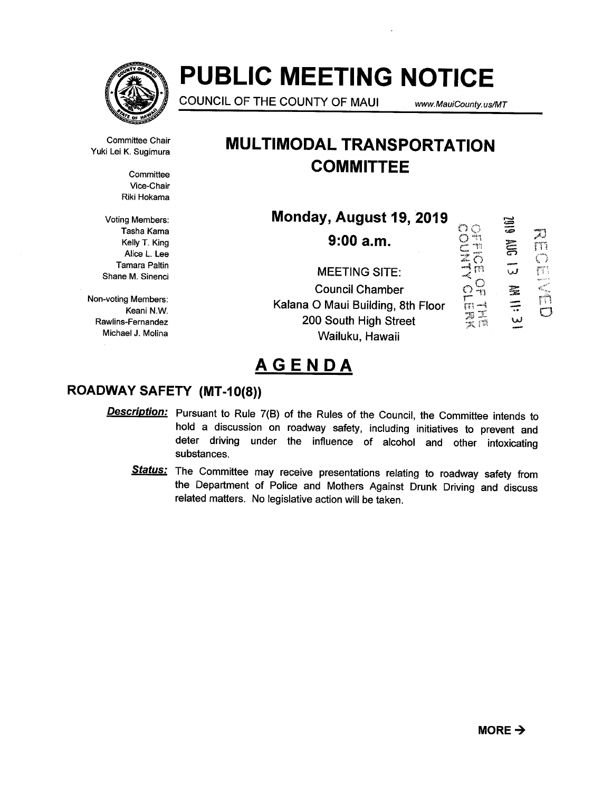

# PUBLIC MEETING NOTICE

COUNCIL OF THE COUNTY OF MAUI www.MauiCounty. us/MT

-~'-"1

C,

Committee Chair Yuki Lei K. Sugimura

> **Committee** Vice-Chair Riki Hokama

Voting Members: Tasha Kama Kelly T. King Alice L. Lee Tamara Paltin Shane M. Sinenci

Non-voting Members: Keani N.W. Rawlins-Fernandez Michael J. Molina

# MULTIMODAL TRANSPORTATION **COMMITTEE**

200 South High Street Wailuku, Hawaii

# Monday, August 19, 2019 SINY 6102 9:00 a.m.  $\frac{\pi}{n}$ C III N E I MEETING SITE:  $\tilde{\rm e}^{\Omega}_{\rm m}$ Council Chamber Kalana 0 Maui Building, 8th Floor c9 ,-~t

**AGENDA** 

# ROADWAY SAFETY (MT-10(8))

- **Description:** Pursuant to Rule 7(B) of the Rules of the Council, the Committee intends to hold a discussion on roadway safety, including initiatives to prevent and deter driving under the influence of alcohol and other intoxicating substances.
	- Status: The Committee may receive presentations relating to roadway safety from the Department of Police and Mothers Against Drunk Driving and discuss related matters. No legislative action will be taken.